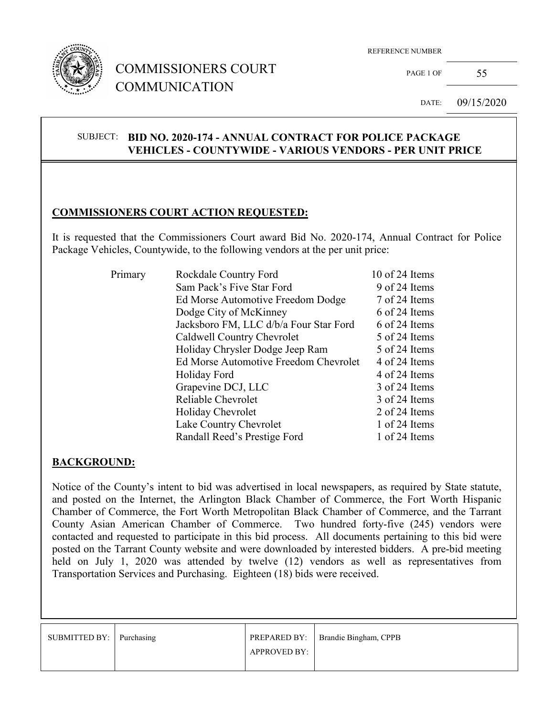

## COMMISSIONERS COURT COMMUNICATION

REFERENCE NUMBER

PAGE 1 OF  $55$ 

DATE: 09/15/2020

#### SUBJECT: **BID NO. 2020-174 - ANNUAL CONTRACT FOR POLICE PACKAGE VEHICLES - COUNTYWIDE - VARIOUS VENDORS - PER UNIT PRICE**

#### **COMMISSIONERS COURT ACTION REQUESTED:**

It is requested that the Commissioners Court award Bid No. 2020-174, Annual Contract for Police Package Vehicles, Countywide, to the following vendors at the per unit price:

| Primary | Rockdale Country Ford                  | 10 of 24 Items |
|---------|----------------------------------------|----------------|
|         | Sam Pack's Five Star Ford              | 9 of 24 Items  |
|         |                                        |                |
|         | Ed Morse Automotive Freedom Dodge      | 7 of 24 Items  |
|         | Dodge City of McKinney                 | 6 of 24 Items  |
|         | Jacksboro FM, LLC d/b/a Four Star Ford | 6 of 24 Items  |
|         | Caldwell Country Chevrolet             | 5 of 24 Items  |
|         | Holiday Chrysler Dodge Jeep Ram        | 5 of 24 Items  |
|         | Ed Morse Automotive Freedom Chevrolet  | 4 of 24 Items  |
|         | Holiday Ford                           | 4 of 24 Items  |
|         | Grapevine DCJ, LLC                     | 3 of 24 Items  |
|         | Reliable Chevrolet                     | 3 of 24 Items  |
|         | Holiday Chevrolet                      | 2 of 24 Items  |
|         | Lake Country Chevrolet                 | 1 of 24 Items  |
|         | Randall Reed's Prestige Ford           | 1 of 24 Items  |

#### **BACKGROUND:**

Notice of the County's intent to bid was advertised in local newspapers, as required by State statute, and posted on the Internet, the Arlington Black Chamber of Commerce, the Fort Worth Hispanic Chamber of Commerce, the Fort Worth Metropolitan Black Chamber of Commerce, and the Tarrant County Asian American Chamber of Commerce. Two hundred forty-five (245) vendors were contacted and requested to participate in this bid process. All documents pertaining to this bid were posted on the Tarrant County website and were downloaded by interested bidders. A pre-bid meeting held on July 1, 2020 was attended by twelve (12) vendors as well as representatives from Transportation Services and Purchasing. Eighteen (18) bids were received.

| SUBMITTED BY:   Purchasing |                     | <b>PREPARED BY:</b>   Brandie Bingham, CPPB |
|----------------------------|---------------------|---------------------------------------------|
|                            | <b>APPROVED BY:</b> |                                             |